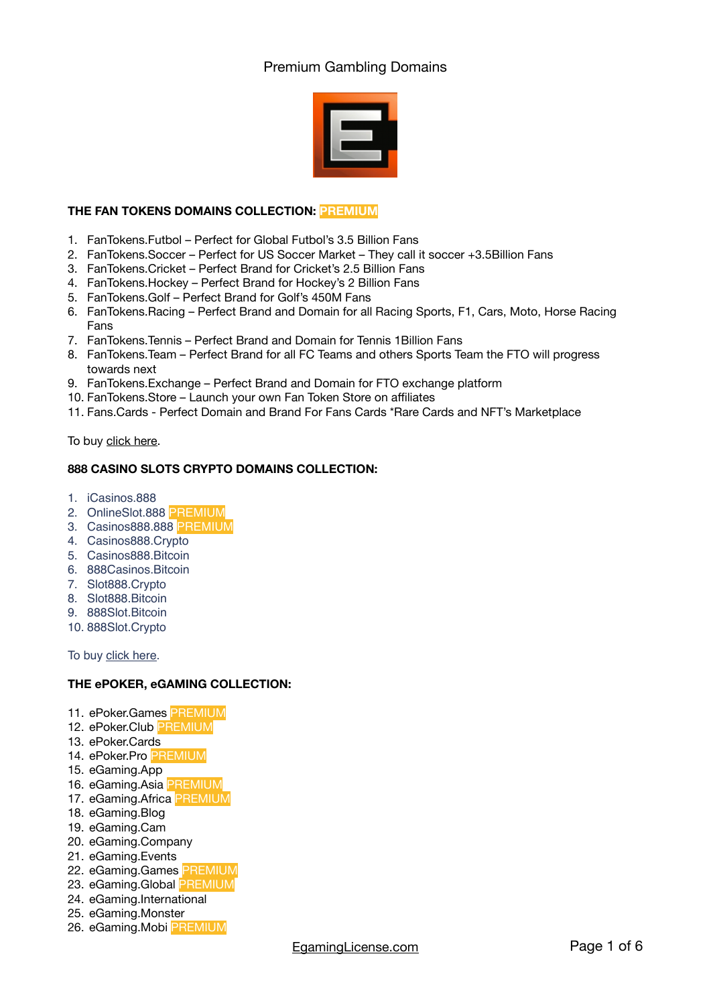

# **THE FAN TOKENS DOMAINS COLLECTION: PREMIUM**

- 1. [FanTokens.Futbol](https://dan.com/buy-domain/fantokens.futbol) Perfect for Global Futbol's 3.5 Billion Fans
- 2. [FanTokens.Soccer](https://dan.com/buy-domain/fantokens.soccer) Perfect for US Soccer Market They call it soccer +3.5Billion Fans
- 3. [FanTokens.Cricket](https://dan.com/buy-domain/fantokens.cricket)  Perfect Brand for Cricket's 2.5 Billion Fans
- 4. [FanTokens.Hockey](https://dan.com/buy-domain/fantokens.cricket)  Perfect Brand for Hockey's 2 Billion Fans
- 5. [FanTokens.Golf](https://dan.com/buy-domain/fantokens.golf) Perfect Brand for Golf's 450M Fans
- 6. [FanTokens.Racing](https://dan.com/buy-domain/fantokens.racing) Perfect Brand and Domain for all Racing Sports, F1, Cars, Moto, Horse Racing Fans
- 7. [FanTokens.Tennis](https://dan.com/buy-domain/fantokens.tennis) Perfect Brand and Domain for Tennis 1Billion Fans
- 8. [FanTokens.Team](https://dan.com/buy-domain/fantokens.team)  Perfect Brand for all FC Teams and others Sports Team the FTO will progress towards next
- 9. [FanTokens.Exchange](https://dan.com/buy-domain/fantokens.exchange) Perfect Brand and Domain for FTO exchange platform
- 10. [FanTokens.Store](https://dan.com/buy-domain/fantokens.store)  Launch your own Fan Token Store on affiliates
- 11. Fans.Cards Perfect Domain and Brand For Fans Cards \*Rare Cards and NFT's Marketplace

To buy [click here.](https://egaminglicense.com/downloads/fantokens-futbol/)

# **888 CASINO SLOTS CRYPTO DOMAINS COLLECTION:**

- 1. iCasinos.888
- 2. OnlineSlot.888 PREMIUM
- 3. Casinos888.888 PREMIUM
- 4. Casinos888.Crypto
- 5. Casinos888.Bitcoin
- 6. 888Casinos.Bitcoin
- 7. Slot888.Crypto
- 8. Slot888.Bitcoin
- 9. 888Slot.Bitcoin
- 10. 888Slot.Crypto

To buy [click here](https://egaminglicense.com/downloads/collection-888-crypto-bitcoin/).

# **THE ePOKER, eGAMING COLLECTION:**

- 11. ePoker.Games PREMIUM
- 12. ePoker.Club PREMIUM
- 13. ePoker.Cards
- 14. ePoker.Pro PREMIUM
- 15. eGaming.App
- 16. eGaming.Asia PREMIUM
- 17. eGaming.Africa PREMIUM
- 18. eGaming.Blog
- 19. eGaming.Cam
- 20. eGaming.Company
- 21. eGaming.Events
- 22. eGaming.Games **PREMIUM**
- 23. eGaming.Global PREMIUM
- 24. eGaming.International
- 25. eGaming.Monster 26. eGaming.Mobi PREMIUM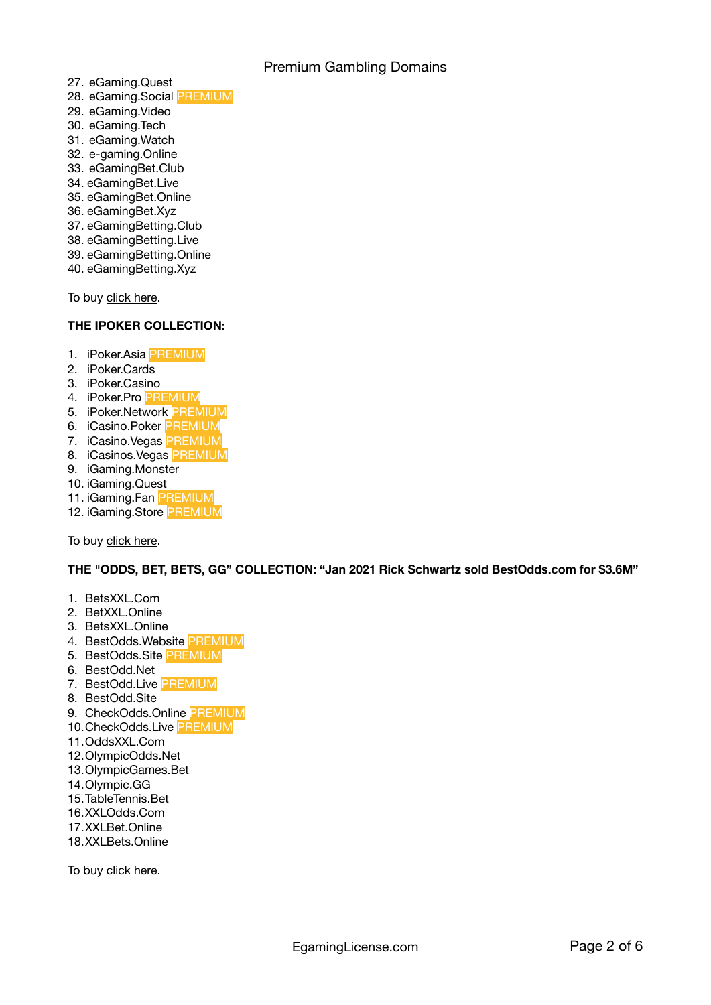Premium Gambling Domains

- 27. eGaming.Quest
- 28. eGaming.Social PREMIUM
- 29. eGaming.Video
- 30. eGaming.Tech
- 31. eGaming.Watch
- 32. e-gaming.Online
- 33. eGamingBet.Club
- 34. eGamingBet.Live
- 35. eGamingBet.Online
- 36. eGamingBet.Xyz
- 37. eGamingBetting.Club
- 38. eGamingBetting.Live
- 39. eGamingBetting.Online
- 40. eGamingBetting.Xyz

To buy [click here.](https://egaminglicense.com/downloads/egaming-asia/)

# **THE IPOKER COLLECTION:**

- 1. iPoker.Asia PREMIUM
- 2. iPoker.Cards
- 3. iPoker.Casino
- 4. iPoker.Pro PREMIUM
- 5. iPoker.Network PREMIUM
- 6. iCasino.Poker PREMIUM
- 7. iCasino.Vegas PREMIUM
- 8. iCasinos.Vegas PREMIUM
- 9. iGaming.Monster
- 10. iGaming.Quest
- 11. iGaming.Fan PREMIUM
- 12. iGaming.Store PREMIUM

To buy [click here.](https://egaminglicense.com/downloads/ipoker-casino/)

**THE "ODDS, BET, BETS, GG" COLLECTION: "Jan 2021 Rick Schwartz sold BestOdds.com for \$3.6M"** 

- 1. BetsXXL.Com
- 2. BetXXL.Online
- 3. BetsXXL.Online
- 4. BestOdds.Website PREMIUM
- 5. BestOdds.Site PREMIUM
- 6. BestOdd.Net
- 7. BestOdd.Live PREMIUM
- 8. BestOdd.Site
- 9. CheckOdds.Online PREMIUM
- 10.CheckOdds.Live PREMIUM
- 11.OddsXXL.Com
- 12.OlympicOdds.Net
- 13.OlympicGames.Bet
- 14.Olympic.GG
- 15.TableTennis.Bet
- 16.XXLOdds.Com
- 17.XXLBet.Online
- 18.XXLBets.Online

To buy [click here.](https://dan.com/domain-seller/egaming-license?&terms=odds&results=50&order_by=relevance)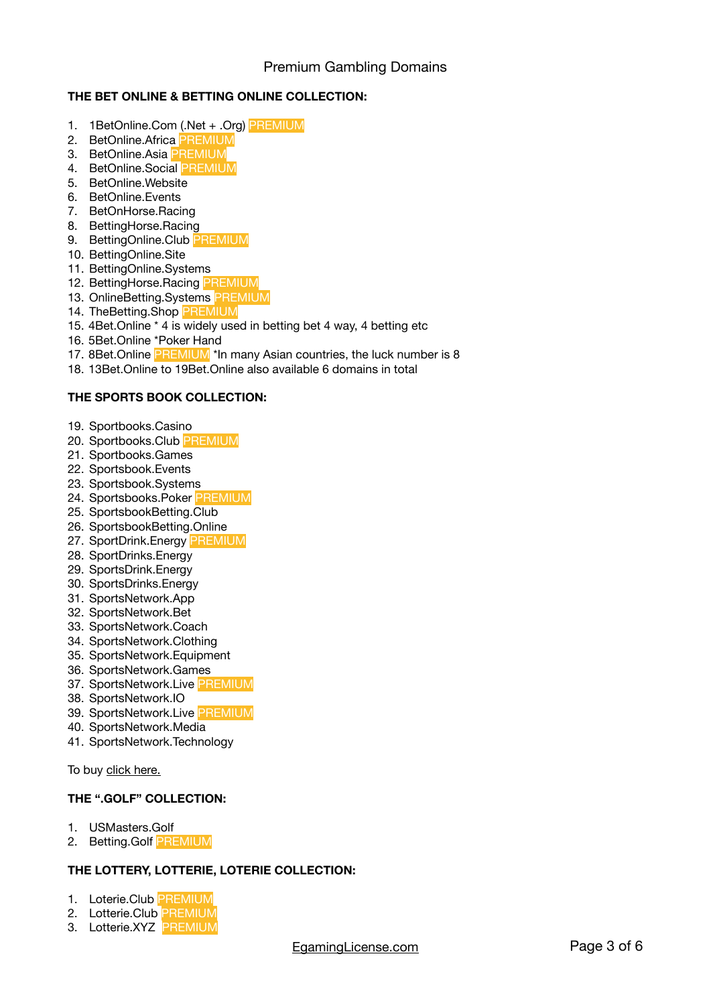# **THE BET ONLINE & BETTING ONLINE COLLECTION:**

- 1. 1BetOnline.Com (.Net + .Org) PREMIUM
- 2. BetOnline.Africa PREMIUM
- 3. BetOnline.Asia <mark>PREMIUM</mark>
- 4. BetOnline.Social PREMIUM
- 5. BetOnline.Website
- 6. BetOnline.Events
- 7. BetOnHorse.Racing
- 8. BettingHorse.Racing
- 9. BettingOnline.Club PREMIUM
- 10. BettingOnline.Site
- 11. BettingOnline.Systems
- 12. BettingHorse.Racing PREMIUM
- 13. OnlineBetting.Systems PREMIUM
- 14. TheBetting.Shop PREMIUM
- 15. 4Bet.Online \* 4 is widely used in betting bet 4 way, 4 betting etc
- 16. 5Bet.Online \*Poker Hand
- 17. 8Bet. Online PREMIUM<sup>\*</sup> In many Asian countries, the luck number is 8
- 18. 13Bet.Online to 19Bet.Online also available 6 domains in total

#### **THE SPORTS BOOK COLLECTION:**

- 19. Sportbooks.Casino
- 20. Sportbooks.Club PREMIUM
- 21. Sportbooks.Games
- 22. Sportsbook.Events
- 23. Sportsbook.Systems
- 24. Sportsbooks.Poker PREMIUM
- 25. SportsbookBetting.Club
- 26. SportsbookBetting.Online
- 27. SportDrink.Energy PREMIUM
- 28. SportDrinks.Energy
- 29. SportsDrink.Energy
- 30. SportsDrinks.Energy
- 31. SportsNetwork.App
- 32. SportsNetwork.Bet
- 33. SportsNetwork.Coach
- 34. SportsNetwork.Clothing
- 35. SportsNetwork.Equipment
- 36. SportsNetwork.Games
- 37. SportsNetwork.Live PREMIUM
- 38. SportsNetwork.IO
- 39. SportsNetwork.Live PREMIUM
- 40. SportsNetwork.Media
- 41. SportsNetwork.Technology

To buy [click here.](https://egaminglicense.com/downloads/sportsnetwork-io/)

# **THE ".GOLF" COLLECTION:**

- 1. USMasters.Golf
- 2. Betting.Golf PREMIUM

# **THE LOTTERY, LOTTERIE, LOTERIE COLLECTION:**

- 1. Loterie.Club PREMIUM
- 2. Lotterie.Club PREMIUM
- 3. Lotterie.XYZ PREMIUM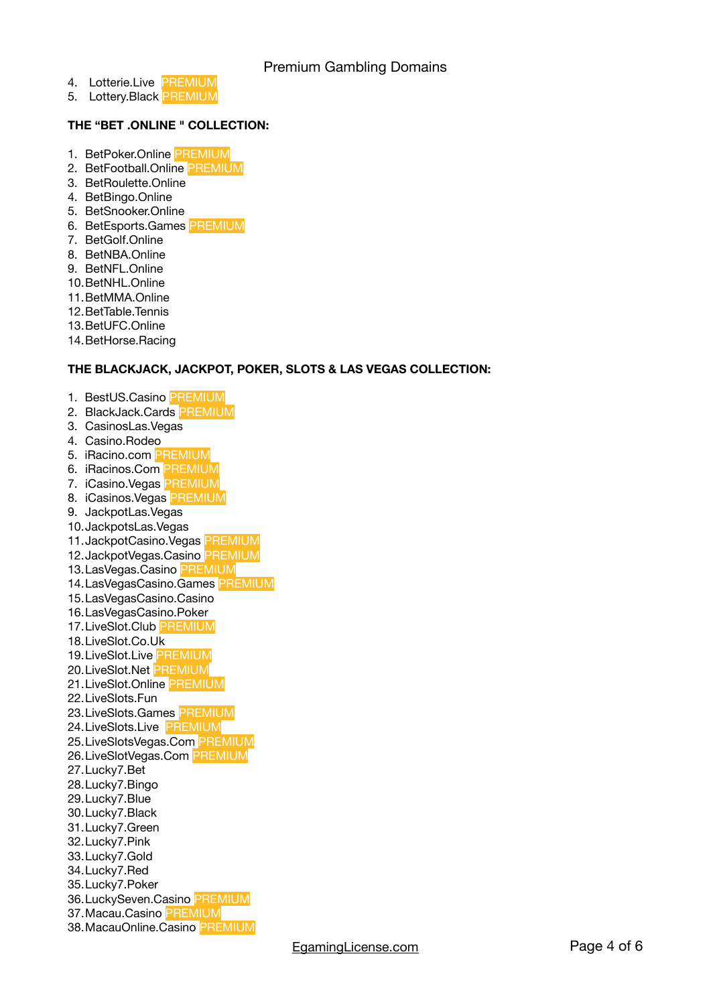Premium Gambling Domains

- 4. Lotterie.Live PREMIUM
- 5. Lottery. Black PREMIUM

# **THE "BET .ONLINE " COLLECTION:**

- 1. BetPoker.Online PREMIUM
- 2. BetFootball.Online PREMIUM
- 3. BetRoulette.Online
- 4. BetBingo.Online
- 5. BetSnooker.Online
- 6. BetEsports.Games PREMIUM
- 7. BetGolf.Online
- 8. BetNBA.Online
- 9. BetNFL.Online
- 10.BetNHL.Online
- 11.BetMMA.Online
- 12.BetTable.Tennis
- 13.BetUFC.Online
- 14.BetHorse.Racing

#### **THE BLACKJACK, JACKPOT, POKER, SLOTS & LAS VEGAS COLLECTION:**

- 1. BestUS.Casino PREMIUM
- 2. BlackJack.Cards PREMIUM
- 3. CasinosLas.Vegas
- 4. Casino.Rodeo
- 5. iRacino.com <mark>PREMIUM</mark>
- 6. iRacinos.Com <mark>PREMIUM</mark>
- 7. iCasino.Vegas PREMIUM
- 8. iCasinos. Vegas PREMIUM
- 9. JackpotLas.Vegas
- 10.JackpotsLas.Vegas
- 11.JackpotCasino.Vegas PREMIUM
- 12.JackpotVegas.Casino PREMIUM
- 13.LasVegas.Casino PREMIUM
- 14. LasVegasCasino.Games PREMIUM
- 15.LasVegasCasino.Casino
- 16.LasVegasCasino.Poker
- 17.LiveSlot.Club PREMIUM
- 18.LiveSlot.Co.Uk
- 19. LiveSlot.Live PREMIUM
- 20.LiveSlot.Net PREMIUM
- 21.LiveSlot.Online PREMIUM
- 22.LiveSlots.Fun
- 23.LiveSlots.Games PREMIUM
- 24.LiveSlots.Live PREMIUM
- 25.LiveSlotsVegas.Com PREMIUM
- 26.LiveSlotVegas.Com PREMIUM
- 27.Lucky7.Bet
- 28.Lucky7.Bingo
- 29.Lucky7.Blue
- 30.Lucky7.Black
- 31.Lucky7.Green
- 32.Lucky7.Pink
- 33.Lucky7.Gold
- 34.Lucky7.Red
- 35.Lucky7.Poker
- 36.LuckySeven.Casino PREMIUM 37.Macau.Casino PREMIUM
- 38.MacauOnline.Casino PREMIUM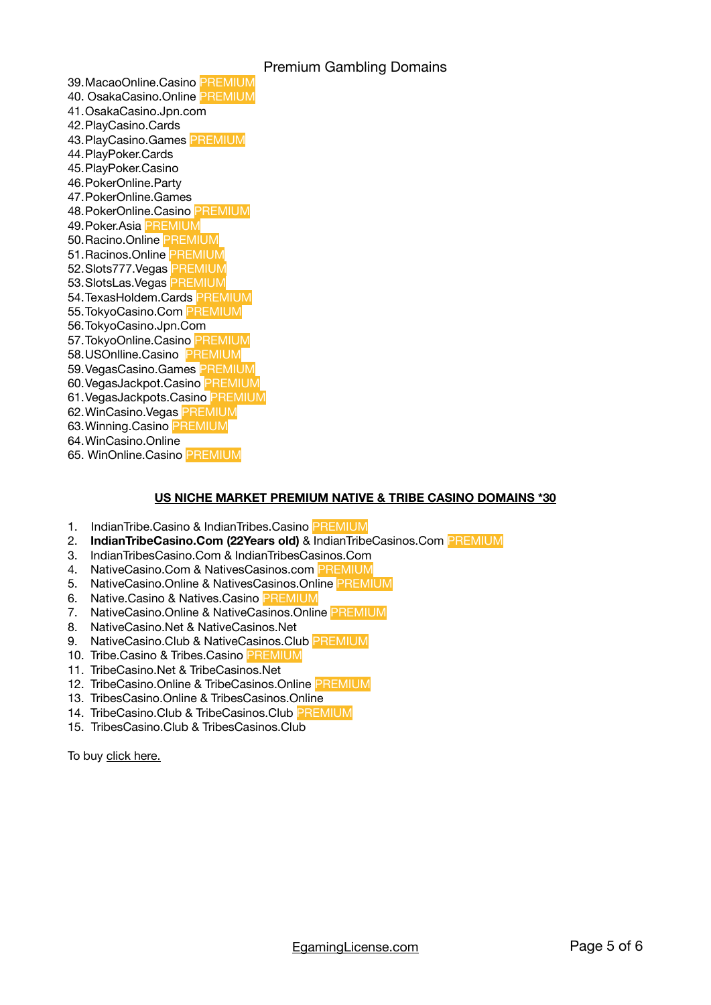# Premium Gambling Domains

39.MacaoOnline.Casino PREMIUM 40. OsakaCasino.Online PREMIUM 41.OsakaCasino.Jpn.com 42.PlayCasino.Cards 43.PlayCasino.Games PREMIUM 44.PlayPoker.Cards 45.PlayPoker.Casino 46.PokerOnline.Party 47.PokerOnline.Games 48.PokerOnline.Casino PREMIUM 49.Poker.Asia PREMIUM 50.Racino.Online PREMIUM 51.Racinos.Online PREMIUM 52.Slots777.Vegas PREMIUM 53.SlotsLas.Vegas PREMIUM 54.TexasHoldem.Cards PREMIUM 55.TokyoCasino.Com PREMIUM 56.TokyoCasino.Jpn.Com 57.TokyoOnline.Casino PREMIUM 58.USOnlline.Casino PREMIUM 59. VegasCasino.Games PREMIUM 60.VegasJackpot.Casino PREMIUM 61.VegasJackpots.Casino PREMIUM 62.WinCasino.Vegas PREMIUM 63.Winning.Casino PREMIUM 64.WinCasino.Online 65. WinOnline.Casino PREMIUM

#### **US NICHE MARKET PREMIUM NATIVE & TRIBE CASINO DOMAINS \*30**

- 1. IndianTribe.Casino & IndianTribes.Casino PREMIUM
- 2. **IndianTribeCasino.Com (22Years old)** & IndianTribeCasinos.Com PREMIUM
- 3. IndianTribesCasino.Com & IndianTribesCasinos.Com
- 4. NativeCasino.Com & NativesCasinos.com PREMIUM
- 5. NativeCasino.Online & NativesCasinos.Online PREMIUM
- 6. Native.Casino & Natives.Casino PREMIUM
- 7. NativeCasino.Online & NativeCasinos.Online PREMIUM
- 8. NativeCasino.Net & NativeCasinos.Net
- 9. NativeCasino.Club & NativeCasinos.Club PREMIUM
- 10. Tribe.Casino & Tribes.Casino PREMIUM
- 11. TribeCasino.Net & TribeCasinos.Net
- 12. TribeCasino.Online & TribeCasinos.Online PREMIUM
- 13. TribesCasino.Online & TribesCasinos.Online
- 14. TribeCasino.Club & TribeCasinos.Club PREMIUM
- 15. TribesCasino.Club & TribesCasinos.Club

To buy [click here.](https://egaminglicense.com/tribal-casino-gambling-domains-for-sale/)